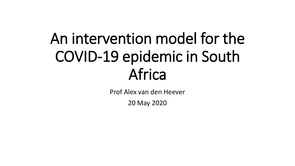### An intervention model for the COVID-19 epidemic in South Africa

Prof Alex van den Heever

20 May 2020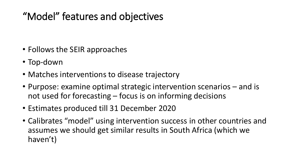#### "Model" features and objectives

- Follows the SEIR approaches
- Top-down
- Matches interventions to disease trajectory
- Purpose: examine optimal strategic intervention scenarios and is not used for forecasting – focus is on informing decisions
- Estimates produced till 31 December 2020
- Calibrates "model" using intervention success in other countries and assumes we should get similar results in South Africa (which we haven't)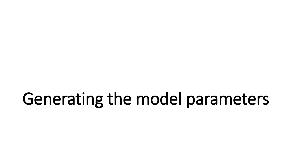### Generating the model parameters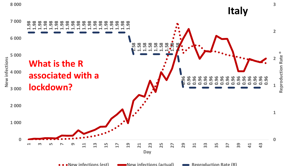

**New infections (est) New infections (actual) Reproduction Rate (R)**

**3**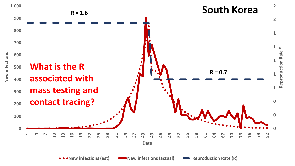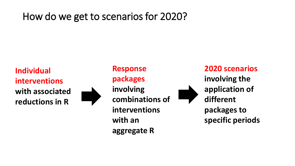#### How do we get to scenarios for 2020?

**Individual interventions with associated reductions in R**



**Response packages involving combinations of interventions with an aggregate R**

**2020 scenarios involving the application of different packages to specific periods**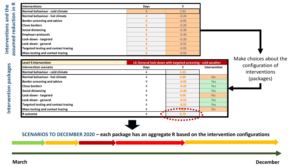| $\propto$<br>Interventions                             | <b>Days</b> | R       |
|--------------------------------------------------------|-------------|---------|
| $\mathbf{=}$<br>Normal behaviour - cold climate        |             | 2.43    |
| ction<br>Normal behaviour - hot climate                |             | $-0.24$ |
| <b>Border screening and advice</b>                     |             | $-0.05$ |
| 등<br><b>Close borders</b>                              |             | $-0.20$ |
| <b>Social distancing</b><br>ၑ                          |             | $-0.30$ |
| <b>Employer protocols</b><br>$\overline{\bullet}$      |             | $-0.30$ |
| Lock-down - targeted<br>$\overline{\mathbf{C}}$        | 4           | $-0.20$ |
| Lock-down - general                                    | 4           | $-0.55$ |
| ∍<br><b>Targeted testing and contact tracing</b>       |             | $-0.05$ |
| <b>ISSE</b><br><b>Mass testing and contact tracing</b> |             | $-0.50$ |

**Interventions and the** 

Interventions and the

|      |                                                              |              | Make choices about the |
|------|--------------------------------------------------------------|--------------|------------------------|
|      | L4: General lock-down with targeted screening - cold weather |              |                        |
| Days |                                                              | Intervention | configuration of       |
|      | 2.43                                                         |              | interventions          |
|      | 0.00                                                         | <b>No</b>    | (packages)             |
|      | $-0.05$                                                      | <b>Yes</b>   |                        |
|      | $-0.20$                                                      | <b>Yes</b>   |                        |
|      | $-0.30$                                                      | <b>Yes</b>   |                        |
|      | 0.00                                                         | <b>No</b>    |                        |
|      | $-0.55$                                                      | Yes          |                        |
|      | $-0.55$                                                      | <b>Yes</b>   |                        |
|      | .                                                            | <b>No</b>    |                        |
| 4    | 0.79                                                         |              |                        |
|      |                                                              | ***********  |                        |

**SCENARIOS TO DECEMBER 2020 – each package has an aggregate R based on the intervention configurations**

L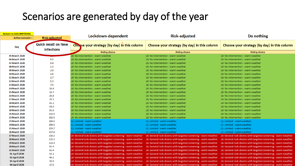#### Scenarios are generated by day of the year

| <b>Return to ASSUMPTIONS</b> |                                                 |                                                               |                                                                                                                               |                                                               |
|------------------------------|-------------------------------------------------|---------------------------------------------------------------|-------------------------------------------------------------------------------------------------------------------------------|---------------------------------------------------------------|
| <b>Active scenario =</b>     | <b>Risk-adjusted</b>                            | Lockdown-dependent                                            | <b>Risk-adjusted</b>                                                                                                          | Do nothing                                                    |
| Day                          | <b>Quick result on New</b><br><b>Infections</b> | Choose your strategy (by day) in this column                  | Choose your strategy (by day) in this column                                                                                  | Choose your strategy (by day) in this column                  |
|                              |                                                 | <b>Policy choice</b>                                          | <b>Policy choice</b>                                                                                                          | <b>Policy choice</b>                                          |
| 05 March 2020                |                                                 | L0: No intervention - warm weather                            | L0: No intervention - warm weather                                                                                            | L0: No intervention - warm weather                            |
| 06 March 2020                | 0.5                                             | L0: No intervention - warm weather                            | L0: No intervention - warm weather                                                                                            | L0: No intervention - warm weather                            |
| 07 March 2020                | 0.8                                             | L0: No intervention - warm weather                            | L0: No intervention - warm weather                                                                                            | L0: No intervention - warm weather                            |
| 08 March 2020                | 1.3                                             | L0: No intervention - warm weather                            | L0: No intervention - warm weather                                                                                            | L0: No intervention - warm weather                            |
| 09 March 2020                | 2.0                                             | L0: No intervention - warm weather                            | L0: No intervention - warm weather                                                                                            | L0: No intervention - warm weather                            |
| <b>10 March 2020</b>         | 2.6                                             | L0: No intervention - warm weather                            | L0: No intervention - warm weather                                                                                            | L0: No intervention - warm weather                            |
| <b>11 March 2020</b>         | 3.7                                             | L0: No intervention - warm weather                            | L0: No intervention - warm weather                                                                                            | L0: No intervention - warm weather                            |
| <b>12 March 2020</b>         | 5.3                                             | L0: No intervention - warm weather                            | L0: No intervention - warm weather                                                                                            | L0: No intervention - warm weather                            |
| <b>13 March 2020</b>         | 7.5                                             | L0: No intervention - warm weather                            | L0: No intervention - warm weather                                                                                            | L0: No intervention - warm weather                            |
| <b>14 March 2020</b>         | 10.4                                            | L0: No intervention - warm weather                            | L0: No intervention - warm weather                                                                                            | L0: No intervention - warm weather                            |
| <b>15 March 2020</b>         | 14.7                                            | L0: No intervention - warm weather                            | L0: No intervention - warm weather                                                                                            | L0: No intervention - warm weather                            |
| <b>16 March 2020</b>         | 20.8                                            | L0: No intervention - warm weather                            | L0: No intervention - warm weather                                                                                            | L0: No intervention - warm weather                            |
| <b>17 March 2020</b>         | 29.2                                            | L0: No intervention - warm weather                            | L0: No intervention - warm weather                                                                                            | L0: No intervention - warm weather                            |
| <b>18 March 2020</b>         | 41.1                                            | L0: No intervention - warm weather                            | L0: No intervention - warm weather                                                                                            | L0: No intervention - warm weather                            |
| <b>19 March 2020</b>         | 58.0                                            | L0: No intervention - warm weather                            | L0: No intervention - warm weather                                                                                            | L0: No intervention - warm weather                            |
| <b>20 March 2020</b>         | 81.6                                            | L0: No intervention - warm weather                            | L0: No intervention - warm weather                                                                                            | L0: No intervention - warm weather                            |
| 21 March 2020                | 115.0                                           | L0: No intervention - warm weather                            | L0: No intervention - warm weather                                                                                            | L0: No intervention - warm weather                            |
| 22 March 2020                | 162.0                                           | L0: No intervention - warm weather                            | L0: No intervention - warm weather                                                                                            | L0: No intervention - warm weather                            |
| 23 March 2020                | 166.0                                           | L1: Limited - warm weather                                    | L1: Limited - warm weather                                                                                                    | L1: Limited - warm weather                                    |
| 24 March 2020                | 209.0                                           | L1: Limited - warm weather                                    | L1: Limited - warm weather                                                                                                    | L1: Limited - warm weather                                    |
| <b>25 March 2020</b>         | 259.7                                           | L1: Limited - warm weather                                    | L1: Limited - warm weather                                                                                                    | L1: Limited - warm weather                                    |
| <b>26 March 2020</b>         | 317.4                                           | L1: Limited - warm weather                                    | L1: Limited - warm weather                                                                                                    | L1: Limited - warm weather                                    |
| <b>27 March 2020</b>         | 130.2                                           | L4: General lock-downs with targeted screening - warm weather | L4: General lock-downs with targeted screening - warm weather                                                                 | L4: General lock-downs with targeted screening - warm weather |
| 28 March 2020                | 125.3                                           | L4: General lock-downs with targeted screening - warm weather | L4: General lock-downs with targeted screening - warm weather                                                                 | L4: General lock-downs with targeted screening - warm weather |
| 29 March 2020                | 113.9                                           | L4: General lock-downs with targeted screening - warm weather | L4: General lock-downs with targeted screening - warm weather                                                                 | L4: General lock-downs with targeted screening - warm weather |
| 30 March 2020                | 93.9                                            | L4: General lock-downs with targeted screening - warm weather | L4: General lock-downs with targeted screening - warm weather                                                                 | L4: General lock-downs with targeted screening - warm weather |
| 31 March 2020                | 63.4                                            | L4: General lock-downs with targeted screening - warm weather | L4: General lock-downs with targeted screening - warm weather                                                                 | L4: General lock-downs with targeted screening - warm weather |
| 01 April 2020                | 54.2                                            | L4: General lock-downs with targeted screening - warm weather | L4: General lock-downs with targeted screening - warm weather                                                                 | L4: General lock-downs with targeted screening - warm weather |
| 02 April 2020                | 44.5                                            | L4: General lock-downs with targeted screening - warm weather | L4: General lock-downs with targeted screening - warm weather                                                                 | L4: General lock-downs with targeted screening - warm weather |
| 03 April 2020                | 35.0                                            | L4: General lock-downs with targeted screening - warm weather | L4: General lock-downs with targeted screening - warm weather                                                                 | L4: General lock-downs with targeted screening - warm weather |
| 04 April 2020                | 27.0                                            |                                                               | L4: General lock-downs with targeted screening - warm weather — L4: General lock-downs with targeted screening - warm weather | L4: General lock-downs with targeted screening - warm weather |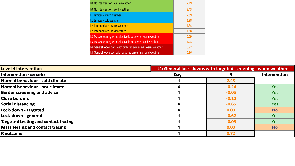| LO: No intervention - warm weather                            | 2.19 |
|---------------------------------------------------------------|------|
| LO: No intervention - cold weather                            | 2.43 |
| L1: Limited - warm weather                                    | 2.09 |
| L1: Limited - cold weather                                    | 1.98 |
| L2: Intermediate - warm weather                               | 1.34 |
| L2: Intermediate - cold weather                               | 1.58 |
| L3: Mass screening with selective lock-downs - warm weather   | 0.79 |
| L3: Mass screening with selective lock-downs - cold weather   | 1.03 |
| L4: General lock-downs with targeted screening - warm weather | 0.72 |
| L4: General lock-down with targeted screening - cold weather  | 0.96 |

| LO: No intervention - cold weather                            | 2.43                                |              |                                                               |
|---------------------------------------------------------------|-------------------------------------|--------------|---------------------------------------------------------------|
| L1: Limited - warm weather                                    | 2.09                                |              |                                                               |
| L1: Limited - cold weather                                    | 1.98                                |              |                                                               |
| L <sub>2</sub> : Intermediate - warm weather                  | 1.34                                |              |                                                               |
| L2: Intermediate - cold weather                               | 1.58                                |              |                                                               |
| L3: Mass screening with selective lock-downs - warm weather   | 0.79                                |              |                                                               |
| L3: Mass screening with selective lock-downs - cold weather   | 1.03                                |              |                                                               |
| L4: General lock-downs with targeted screening - warm weather | 0.72                                |              |                                                               |
| L4: General lock-down with targeted screening - cold weather  | 0.96                                |              |                                                               |
|                                                               |                                     |              |                                                               |
|                                                               |                                     |              |                                                               |
|                                                               | <b>Days</b>                         | $\mathsf{R}$ | Intervention                                                  |
|                                                               | $\overline{\mathbf{4}}$             | 2.43         |                                                               |
|                                                               | 4                                   | $-0.24$      | <b>Yes</b>                                                    |
|                                                               |                                     |              |                                                               |
|                                                               | 4                                   | $-0.05$      | <b>Yes</b>                                                    |
|                                                               | 4                                   | $-0.10$      | <b>Yes</b>                                                    |
|                                                               | 4                                   | $-0.65$      | <b>Yes</b>                                                    |
|                                                               | 4                                   | 0.00         | <b>No</b>                                                     |
|                                                               | 4                                   | $-0.62$      | <b>Yes</b>                                                    |
|                                                               | 4                                   | $-0.05$      | <b>Yes</b>                                                    |
|                                                               | 4                                   | 0.00         | <b>No</b>                                                     |
|                                                               | ILO: No intervention - warm weather | 2.19         | L4: General lock-downs with targeted screening - warm weather |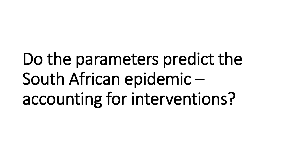# Do the parameters predict the South African epidemic – accounting for interventions?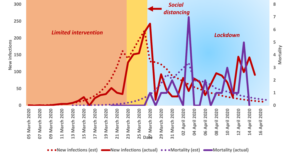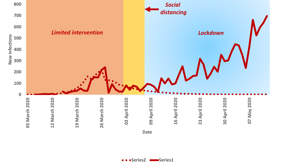

**Date**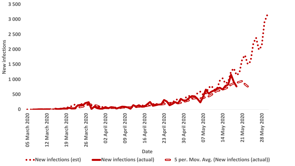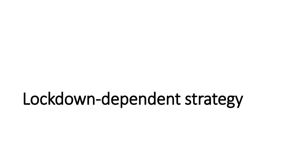### Lockdown-dependent strategy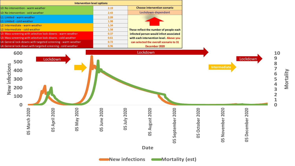![](_page_14_Figure_0.jpeg)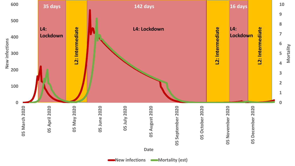![](_page_15_Figure_0.jpeg)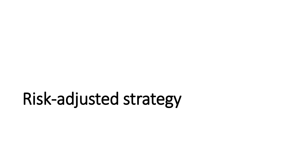## Risk-adjusted strategy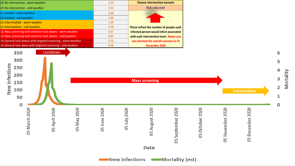| 2.19 | <b>Choose intervention scenario</b>     |
|------|-----------------------------------------|
| 2.43 | <b>Risk-adjusted</b>                    |
| 2.09 |                                         |
| 1.98 |                                         |
| 1.34 |                                         |
| 1.58 | These reflect the number of people each |
| 0.37 | infected person would infect associated |
| 0.61 | with each intervention level. Above you |
| 0.72 | can selected the overall scenario to 31 |
| 0.96 | December 2020                           |
|      |                                         |

![](_page_17_Figure_1.jpeg)

New infections **CONDITIAL CONTENT**